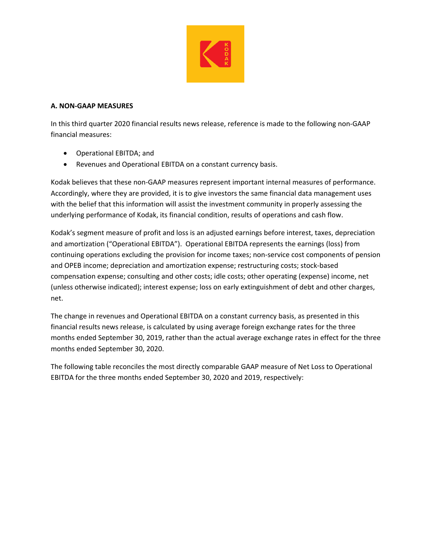

## **A. NON‐GAAP MEASURES**

In this third quarter 2020 financial results news release, reference is made to the following non‐GAAP financial measures:

- Operational EBITDA; and
- Revenues and Operational EBITDA on a constant currency basis.

Kodak believes that these non‐GAAP measures represent important internal measures of performance. Accordingly, where they are provided, it is to give investors the same financial data management uses with the belief that this information will assist the investment community in properly assessing the underlying performance of Kodak, its financial condition, results of operations and cash flow.

Kodak's segment measure of profit and loss is an adjusted earnings before interest, taxes, depreciation and amortization ("Operational EBITDA"). Operational EBITDA represents the earnings (loss) from continuing operations excluding the provision for income taxes; non-service cost components of pension and OPEB income; depreciation and amortization expense; restructuring costs; stock‐based compensation expense; consulting and other costs; idle costs; other operating (expense) income, net (unless otherwise indicated); interest expense; loss on early extinguishment of debt and other charges, net.

The change in revenues and Operational EBITDA on a constant currency basis, as presented in this financial results news release, is calculated by using average foreign exchange rates for the three months ended September 30, 2019, rather than the actual average exchange rates in effect for the three months ended September 30, 2020.

The following table reconciles the most directly comparable GAAP measure of Net Loss to Operational EBITDA for the three months ended September 30, 2020 and 2019, respectively: